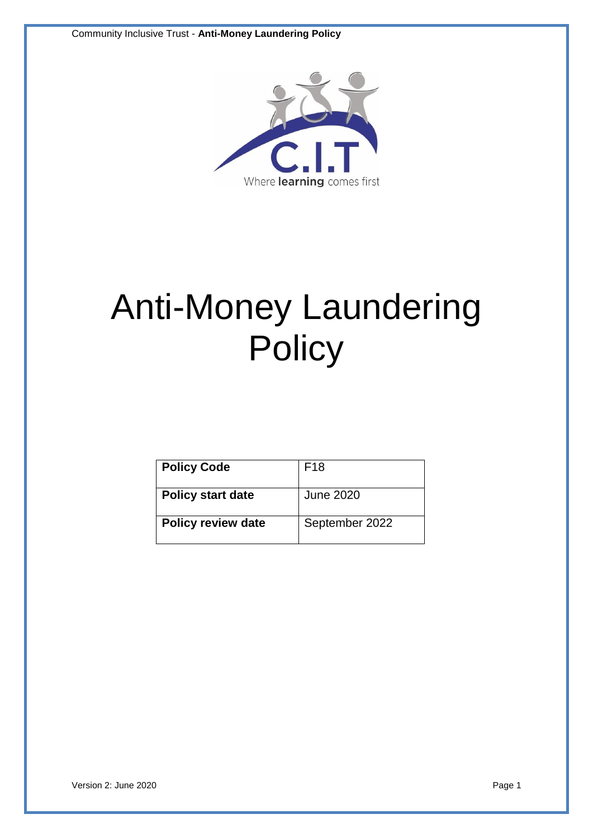

# Anti-Money Laundering **Policy**

| <b>Policy Code</b>        | F <sub>18</sub>  |
|---------------------------|------------------|
| <b>Policy start date</b>  | <b>June 2020</b> |
| <b>Policy review date</b> | September 2022   |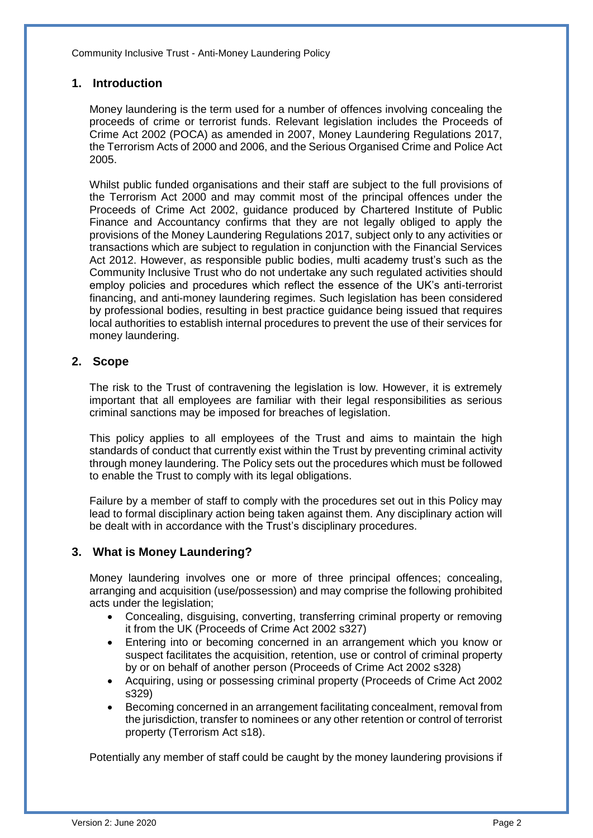# **1. Introduction**

Money laundering is the term used for a number of offences involving concealing the proceeds of crime or terrorist funds. Relevant legislation includes the Proceeds of Crime Act 2002 (POCA) as amended in 2007, Money Laundering Regulations 2017, the Terrorism Acts of 2000 and 2006, and the Serious Organised Crime and Police Act 2005.

Whilst public funded organisations and their staff are subject to the full provisions of the Terrorism Act 2000 and may commit most of the principal offences under the Proceeds of Crime Act 2002, guidance produced by Chartered Institute of Public Finance and Accountancy confirms that they are not legally obliged to apply the provisions of the Money Laundering Regulations 2017, subject only to any activities or transactions which are subject to regulation in conjunction with the Financial Services Act 2012. However, as responsible public bodies, multi academy trust's such as the Community Inclusive Trust who do not undertake any such regulated activities should employ policies and procedures which reflect the essence of the UK's anti-terrorist financing, and anti-money laundering regimes. Such legislation has been considered by professional bodies, resulting in best practice guidance being issued that requires local authorities to establish internal procedures to prevent the use of their services for money laundering.

### **2. Scope**

The risk to the Trust of contravening the legislation is low. However, it is extremely important that all employees are familiar with their legal responsibilities as serious criminal sanctions may be imposed for breaches of legislation.

This policy applies to all employees of the Trust and aims to maintain the high standards of conduct that currently exist within the Trust by preventing criminal activity through money laundering. The Policy sets out the procedures which must be followed to enable the Trust to comply with its legal obligations.

Failure by a member of staff to comply with the procedures set out in this Policy may lead to formal disciplinary action being taken against them. Any disciplinary action will be dealt with in accordance with the Trust's disciplinary procedures.

# **3. What is Money Laundering?**

Money laundering involves one or more of three principal offences; concealing, arranging and acquisition (use/possession) and may comprise the following prohibited acts under the legislation;

- Concealing, disguising, converting, transferring criminal property or removing it from the UK (Proceeds of Crime Act 2002 s327)
- Entering into or becoming concerned in an arrangement which you know or suspect facilitates the acquisition, retention, use or control of criminal property by or on behalf of another person (Proceeds of Crime Act 2002 s328)
- Acquiring, using or possessing criminal property (Proceeds of Crime Act 2002 s329)
- Becoming concerned in an arrangement facilitating concealment, removal from the jurisdiction, transfer to nominees or any other retention or control of terrorist property (Terrorism Act s18).

Potentially any member of staff could be caught by the money laundering provisions if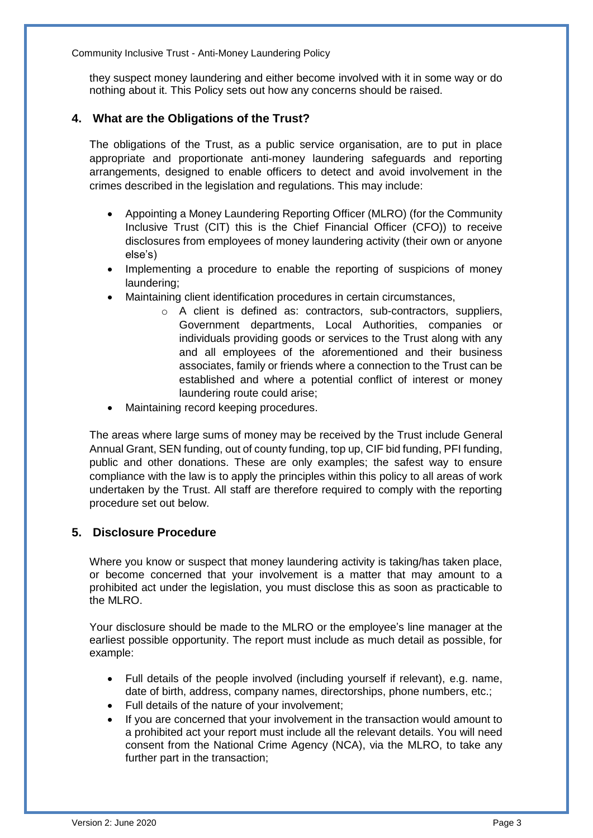they suspect money laundering and either become involved with it in some way or do nothing about it. This Policy sets out how any concerns should be raised.

# **4. What are the Obligations of the Trust?**

The obligations of the Trust, as a public service organisation, are to put in place appropriate and proportionate anti-money laundering safeguards and reporting arrangements, designed to enable officers to detect and avoid involvement in the crimes described in the legislation and regulations. This may include:

- Appointing a Money Laundering Reporting Officer (MLRO) (for the Community Inclusive Trust (CIT) this is the Chief Financial Officer (CFO)) to receive disclosures from employees of money laundering activity (their own or anyone else's)
- Implementing a procedure to enable the reporting of suspicions of money laundering;
- Maintaining client identification procedures in certain circumstances,
	- o A client is defined as: contractors, sub-contractors, suppliers, Government departments, Local Authorities, companies or individuals providing goods or services to the Trust along with any and all employees of the aforementioned and their business associates, family or friends where a connection to the Trust can be established and where a potential conflict of interest or money laundering route could arise;
- Maintaining record keeping procedures.

The areas where large sums of money may be received by the Trust include General Annual Grant, SEN funding, out of county funding, top up, CIF bid funding, PFI funding, public and other donations. These are only examples; the safest way to ensure compliance with the law is to apply the principles within this policy to all areas of work undertaken by the Trust. All staff are therefore required to comply with the reporting procedure set out below.

# **5. Disclosure Procedure**

Where you know or suspect that money laundering activity is taking/has taken place. or become concerned that your involvement is a matter that may amount to a prohibited act under the legislation, you must disclose this as soon as practicable to the MLRO.

Your disclosure should be made to the MLRO or the employee's line manager at the earliest possible opportunity. The report must include as much detail as possible, for example:

- Full details of the people involved (including yourself if relevant), e.g. name, date of birth, address, company names, directorships, phone numbers, etc.;
- Full details of the nature of your involvement;
- If you are concerned that your involvement in the transaction would amount to a prohibited act your report must include all the relevant details. You will need consent from the National Crime Agency (NCA), via the MLRO, to take any further part in the transaction;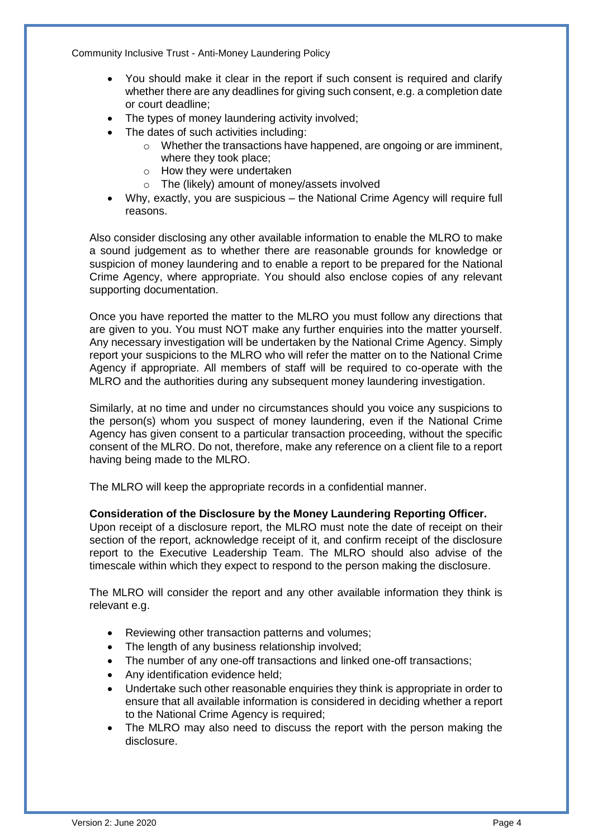- You should make it clear in the report if such consent is required and clarify whether there are any deadlines for giving such consent, e.g. a completion date or court deadline;
- The types of money laundering activity involved;
- The dates of such activities including:
	- o Whether the transactions have happened, are ongoing or are imminent, where they took place;
	- o How they were undertaken
	- o The (likely) amount of money/assets involved
- Why, exactly, you are suspicious the National Crime Agency will require full reasons.

Also consider disclosing any other available information to enable the MLRO to make a sound judgement as to whether there are reasonable grounds for knowledge or suspicion of money laundering and to enable a report to be prepared for the National Crime Agency, where appropriate. You should also enclose copies of any relevant supporting documentation.

Once you have reported the matter to the MLRO you must follow any directions that are given to you. You must NOT make any further enquiries into the matter yourself. Any necessary investigation will be undertaken by the National Crime Agency. Simply report your suspicions to the MLRO who will refer the matter on to the National Crime Agency if appropriate. All members of staff will be required to co-operate with the MLRO and the authorities during any subsequent money laundering investigation.

Similarly, at no time and under no circumstances should you voice any suspicions to the person(s) whom you suspect of money laundering, even if the National Crime Agency has given consent to a particular transaction proceeding, without the specific consent of the MLRO. Do not, therefore, make any reference on a client file to a report having being made to the MLRO.

The MLRO will keep the appropriate records in a confidential manner.

#### **Consideration of the Disclosure by the Money Laundering Reporting Officer.**

Upon receipt of a disclosure report, the MLRO must note the date of receipt on their section of the report, acknowledge receipt of it, and confirm receipt of the disclosure report to the Executive Leadership Team. The MLRO should also advise of the timescale within which they expect to respond to the person making the disclosure.

The MLRO will consider the report and any other available information they think is relevant e.g.

- Reviewing other transaction patterns and volumes;
- The length of any business relationship involved;
- The number of any one-off transactions and linked one-off transactions;
- Any identification evidence held;
- Undertake such other reasonable enquiries they think is appropriate in order to ensure that all available information is considered in deciding whether a report to the National Crime Agency is required;
- The MLRO may also need to discuss the report with the person making the disclosure.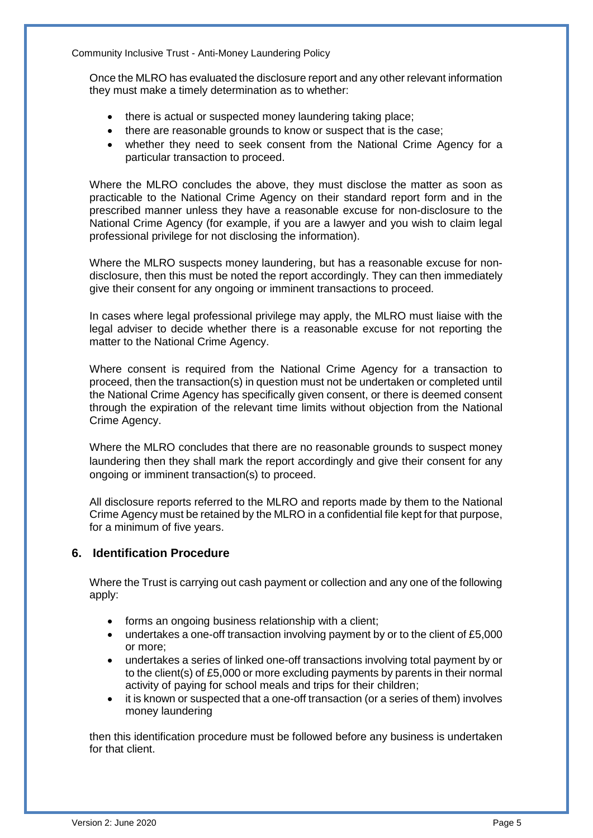Once the MLRO has evaluated the disclosure report and any other relevant information they must make a timely determination as to whether:

- there is actual or suspected money laundering taking place;
- there are reasonable grounds to know or suspect that is the case;
- whether they need to seek consent from the National Crime Agency for a particular transaction to proceed.

Where the MLRO concludes the above, they must disclose the matter as soon as practicable to the National Crime Agency on their standard report form and in the prescribed manner unless they have a reasonable excuse for non-disclosure to the National Crime Agency (for example, if you are a lawyer and you wish to claim legal professional privilege for not disclosing the information).

Where the MLRO suspects money laundering, but has a reasonable excuse for nondisclosure, then this must be noted the report accordingly. They can then immediately give their consent for any ongoing or imminent transactions to proceed.

In cases where legal professional privilege may apply, the MLRO must liaise with the legal adviser to decide whether there is a reasonable excuse for not reporting the matter to the National Crime Agency.

Where consent is required from the National Crime Agency for a transaction to proceed, then the transaction(s) in question must not be undertaken or completed until the National Crime Agency has specifically given consent, or there is deemed consent through the expiration of the relevant time limits without objection from the National Crime Agency.

Where the MLRO concludes that there are no reasonable grounds to suspect money laundering then they shall mark the report accordingly and give their consent for any ongoing or imminent transaction(s) to proceed.

All disclosure reports referred to the MLRO and reports made by them to the National Crime Agency must be retained by the MLRO in a confidential file kept for that purpose, for a minimum of five years.

#### **6. Identification Procedure**

Where the Trust is carrying out cash payment or collection and any one of the following apply:

- forms an ongoing business relationship with a client;
- undertakes a one-off transaction involving payment by or to the client of £5,000 or more;
- undertakes a series of linked one-off transactions involving total payment by or to the client(s) of £5,000 or more excluding payments by parents in their normal activity of paying for school meals and trips for their children;
- it is known or suspected that a one-off transaction (or a series of them) involves money laundering

then this identification procedure must be followed before any business is undertaken for that client.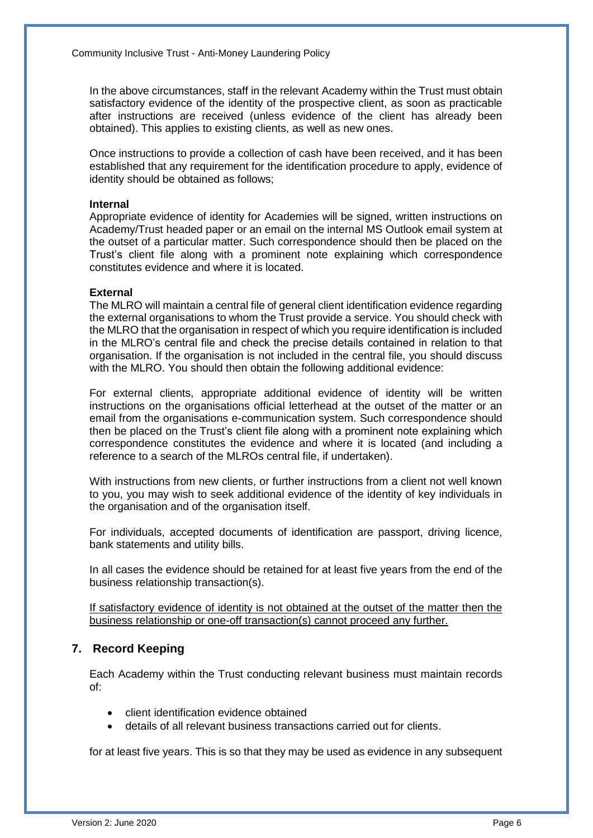In the above circumstances, staff in the relevant Academy within the Trust must obtain satisfactory evidence of the identity of the prospective client, as soon as practicable after instructions are received (unless evidence of the client has already been obtained). This applies to existing clients, as well as new ones.

Once instructions to provide a collection of cash have been received, and it has been established that any requirement for the identification procedure to apply, evidence of identity should be obtained as follows;

#### **Internal**

Appropriate evidence of identity for Academies will be signed, written instructions on Academy/Trust headed paper or an email on the internal MS Outlook email system at the outset of a particular matter. Such correspondence should then be placed on the Trust's client file along with a prominent note explaining which correspondence constitutes evidence and where it is located.

#### **External**

The MLRO will maintain a central file of general client identification evidence regarding the external organisations to whom the Trust provide a service. You should check with the MLRO that the organisation in respect of which you require identification is included in the MLRO's central file and check the precise details contained in relation to that organisation. If the organisation is not included in the central file, you should discuss with the MLRO. You should then obtain the following additional evidence:

For external clients, appropriate additional evidence of identity will be written instructions on the organisations official letterhead at the outset of the matter or an email from the organisations e-communication system. Such correspondence should then be placed on the Trust's client file along with a prominent note explaining which correspondence constitutes the evidence and where it is located (and including a reference to a search of the MLROs central file, if undertaken).

With instructions from new clients, or further instructions from a client not well known to you, you may wish to seek additional evidence of the identity of key individuals in the organisation and of the organisation itself.

For individuals, accepted documents of identification are passport, driving licence, bank statements and utility bills.

In all cases the evidence should be retained for at least five years from the end of the business relationship transaction(s).

If satisfactory evidence of identity is not obtained at the outset of the matter then the business relationship or one-off transaction(s) cannot proceed any further.

# **7. Record Keeping**

Each Academy within the Trust conducting relevant business must maintain records of:

- client identification evidence obtained
- details of all relevant business transactions carried out for clients.

for at least five years. This is so that they may be used as evidence in any subsequent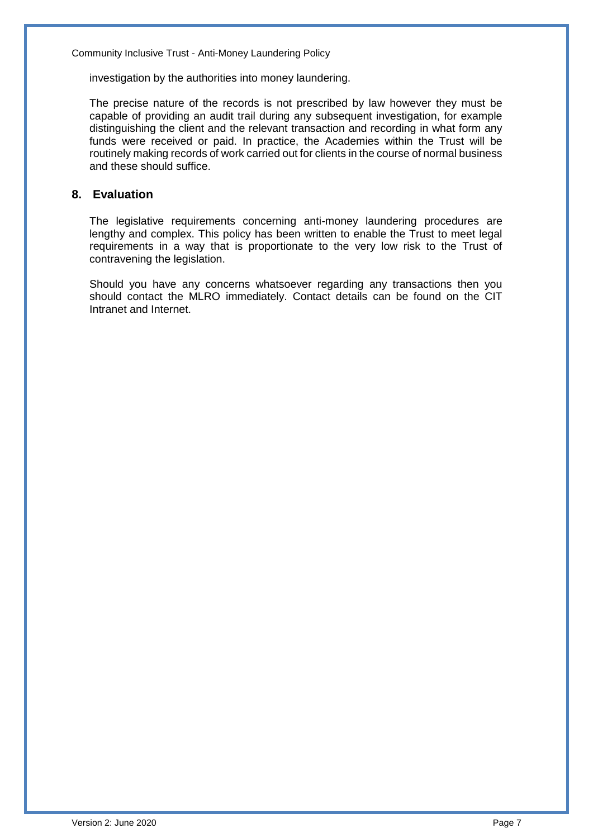investigation by the authorities into money laundering.

The precise nature of the records is not prescribed by law however they must be capable of providing an audit trail during any subsequent investigation, for example distinguishing the client and the relevant transaction and recording in what form any funds were received or paid. In practice, the Academies within the Trust will be routinely making records of work carried out for clients in the course of normal business and these should suffice.

# **8. Evaluation**

The legislative requirements concerning anti-money laundering procedures are lengthy and complex. This policy has been written to enable the Trust to meet legal requirements in a way that is proportionate to the very low risk to the Trust of contravening the legislation.

Should you have any concerns whatsoever regarding any transactions then you should contact the MLRO immediately. Contact details can be found on the CIT Intranet and Internet.